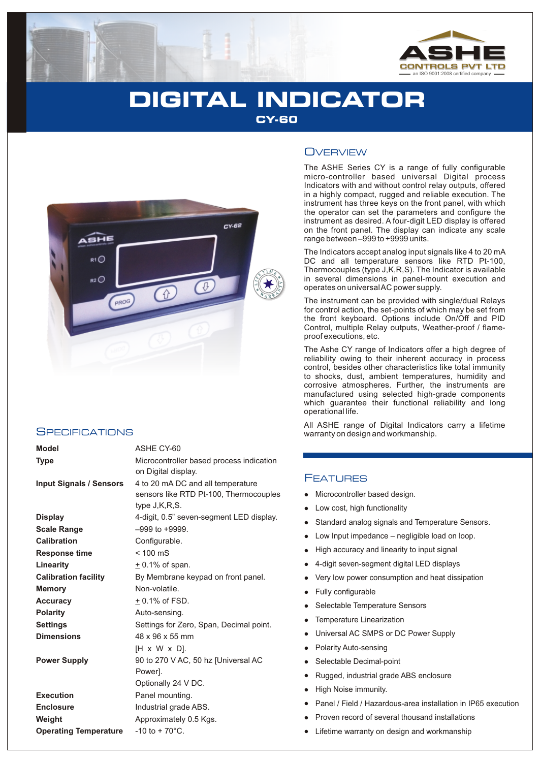

# **DIGITAL INDICATOR CY-60**



### **SPECIFICATIONS**

| <b>Model</b>                   | ASHE CY-60                                                                                   |  |  |  |  |  |
|--------------------------------|----------------------------------------------------------------------------------------------|--|--|--|--|--|
| <b>Type</b>                    | Microcontroller based process indication<br>on Digital display.                              |  |  |  |  |  |
| <b>Input Signals / Sensors</b> | 4 to 20 mA DC and all temperature<br>sensors like RTD Pt-100, Thermocouples<br>type J,K,R,S. |  |  |  |  |  |
| <b>Display</b>                 | 4-digit, 0.5" seven-segment LED display.                                                     |  |  |  |  |  |
| <b>Scale Range</b>             | $-999$ to $+9999$ .                                                                          |  |  |  |  |  |
| Calibration                    | Configurable.                                                                                |  |  |  |  |  |
| <b>Response time</b>           | $< 100$ mS                                                                                   |  |  |  |  |  |
| Linearity                      | $\pm$ 0.1% of span.                                                                          |  |  |  |  |  |
| <b>Calibration facility</b>    | By Membrane keypad on front panel.                                                           |  |  |  |  |  |
| <b>Memory</b>                  | Non-volatile.                                                                                |  |  |  |  |  |
| Accuracy                       | $+0.1\%$ of FSD.                                                                             |  |  |  |  |  |
| <b>Polarity</b>                | Auto-sensing.                                                                                |  |  |  |  |  |
| <b>Settings</b>                | Settings for Zero, Span, Decimal point.                                                      |  |  |  |  |  |
| <b>Dimensions</b>              | 48 x 96 x 55 mm                                                                              |  |  |  |  |  |
|                                | $[H \times W \times D]$ .                                                                    |  |  |  |  |  |
| <b>Power Supply</b>            | 90 to 270 V AC, 50 hz [Universal AC<br>Power].                                               |  |  |  |  |  |
|                                | Optionally 24 V DC.                                                                          |  |  |  |  |  |
| <b>Execution</b>               | Panel mounting.                                                                              |  |  |  |  |  |
| <b>Enclosure</b>               | Industrial grade ABS.                                                                        |  |  |  |  |  |
| Weight                         | Approximately 0.5 Kgs.                                                                       |  |  |  |  |  |
| <b>Operating Temperature</b>   | $-10$ to $+70^{\circ}$ C.                                                                    |  |  |  |  |  |

### **OVERVIEW**

The ASHE Series CY is a range of fully configurable micro-controller based universal Digital process Indicators with and without control relay outputs, offered in a highly compact, rugged and reliable execution. The instrument has three keys on the front panel, with which the operator can set the parameters and configure the instrument as desired. A four-digit LED display is offered on the front panel. The display can indicate any scale range between –999 to +9999 units.

The Indicators accept analog input signals like 4 to 20 mA DC and all temperature sensors like RTD Pt-100, Thermocouples (type J,K,R,S). The Indicator is available in several dimensions in panel-mount execution and operates on universal AC power supply.

The instrument can be provided with single/dual Relays for control action, the set-points of which may be set from the front keyboard. Options include On/Off and PID Control, multiple Relay outputs, Weather-proof / flameproof executions, etc.

The Ashe CY range of Indicators offer a high degree of reliability owing to their inherent accuracy in process control, besides other characteristics like total immunity to shocks, dust, ambient temperatures, humidity and corrosive atmospheres. Further, the instruments are manufactured using selected high-grade components which guarantee their functional reliability and long operational life.

All ASHE range of Digital Indicators carry a lifetime warranty on design and workmanship.

### FEATURES

- Microcontroller based design.
- Low cost, high functionality
- Standard analog signals and Temperature Sensors.
- Low Input impedance negligible load on loop.
- High accuracy and linearity to input signal
- 4-digit seven-segment digital LED displays
- Very low power consumption and heat dissipation
- Fully configurable
- Selectable Temperature Sensors
- Temperature Linearization
- Universal AC SMPS or DC Power Supply
- Micrower Low<br>
1999 Micrower High<br>
1999 Micrower Fully<br>
1999 Micrower Pola<br>
1999 Micrower Pola<br>
1999 Migh<br>
1999 Migh<br>
1999 Migh<br>
1990 Migh Polarity Auto-sensing
- Selectable Decimal-point
- Rugged, industrial grade ABS enclosure
- High Noise immunity.
- Panel / Field / Hazardous-area installation in IP65 execution
- Proven record of several thousand installations
- Lifetime warranty on design and workmanship